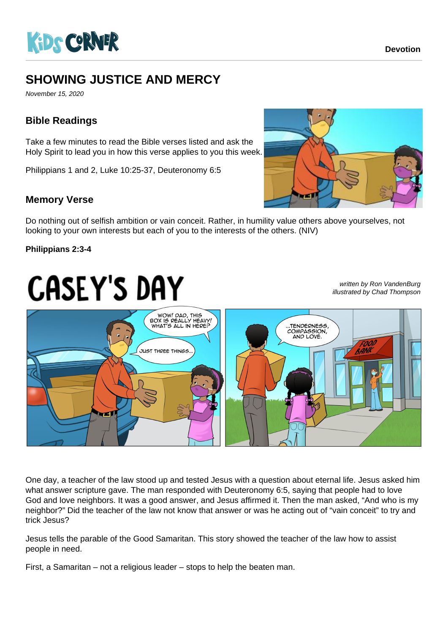

# **SHOWING JUSTICE AND MERCY**

November 15, 2020

## **Bible Readings**

Take a few minutes to read the Bible verses listed and ask the Holy Spirit to lead you in how this verse applies to you this week.

Philippians 1 and 2, Luke 10:25-37, Deuteronomy 6:5

### **Memory Verse**

Do nothing out of selfish ambition or vain conceit. Rather, in humility value others above yourselves, not

looking to your own interests but each of you to the interests of the others. (NIV)

#### **Philippians 2:3-4**

# **CASEY'S DAY**

written by Ron VandenBurg illustrated by Chad Thompson



One day, a teacher of the law stood up and tested Jesus with a question about eternal life. Jesus asked him what answer scripture gave. The man responded with Deuteronomy 6:5, saying that people had to love God and love neighbors. It was a good answer, and Jesus affirmed it. Then the man asked, "And who is my neighbor?" Did the teacher of the law not know that answer or was he acting out of "vain conceit" to try and trick Jesus?

Jesus tells the parable of the Good Samaritan. This story showed the teacher of the law how to assist people in need.

First, a Samaritan – not a religious leader – stops to help the beaten man.